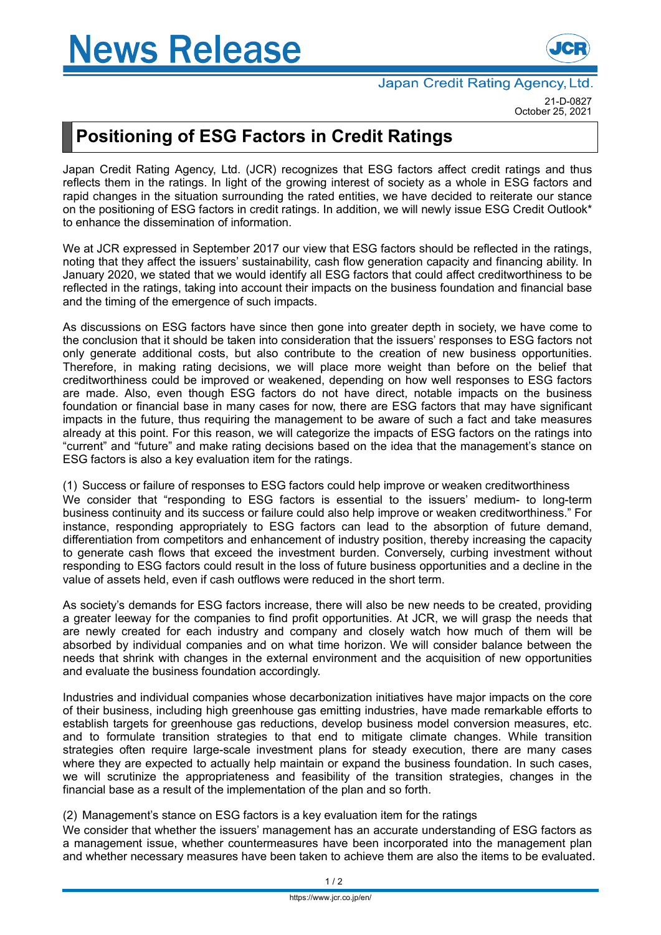

21-D-0827 October 25, 2021

## **Positioning of ESG Factors in Credit Ratings**

Japan Credit Rating Agency, Ltd. (JCR) recognizes that ESG factors affect credit ratings and thus reflects them in the ratings. In light of the growing interest of society as a whole in ESG factors and rapid changes in the situation surrounding the rated entities, we have decided to reiterate our stance on the positioning of ESG factors in credit ratings. In addition, we will newly issue ESG Credit Outlook\* to enhance the dissemination of information.

We at JCR expressed in September 2017 our view that ESG factors should be reflected in the ratings, noting that they affect the issuers' sustainability, cash flow generation capacity and financing ability. In January 2020, we stated that we would identify all ESG factors that could affect creditworthiness to be reflected in the ratings, taking into account their impacts on the business foundation and financial base and the timing of the emergence of such impacts.

As discussions on ESG factors have since then gone into greater depth in society, we have come to the conclusion that it should be taken into consideration that the issuers' responses to ESG factors not only generate additional costs, but also contribute to the creation of new business opportunities. Therefore, in making rating decisions, we will place more weight than before on the belief that creditworthiness could be improved or weakened, depending on how well responses to ESG factors are made. Also, even though ESG factors do not have direct, notable impacts on the business foundation or financial base in many cases for now, there are ESG factors that may have significant impacts in the future, thus requiring the management to be aware of such a fact and take measures already at this point. For this reason, we will categorize the impacts of ESG factors on the ratings into "current" and "future" and make rating decisions based on the idea that the management's stance on ESG factors is also a key evaluation item for the ratings.

(1) Success or failure of responses to ESG factors could help improve or weaken creditworthiness

We consider that "responding to ESG factors is essential to the issuers' medium- to long-term business continuity and its success or failure could also help improve or weaken creditworthiness." For instance, responding appropriately to ESG factors can lead to the absorption of future demand, differentiation from competitors and enhancement of industry position, thereby increasing the capacity to generate cash flows that exceed the investment burden. Conversely, curbing investment without responding to ESG factors could result in the loss of future business opportunities and a decline in the value of assets held, even if cash outflows were reduced in the short term.

As society's demands for ESG factors increase, there will also be new needs to be created, providing a greater leeway for the companies to find profit opportunities. At JCR, we will grasp the needs that are newly created for each industry and company and closely watch how much of them will be absorbed by individual companies and on what time horizon. We will consider balance between the needs that shrink with changes in the external environment and the acquisition of new opportunities and evaluate the business foundation accordingly.

Industries and individual companies whose decarbonization initiatives have major impacts on the core of their business, including high greenhouse gas emitting industries, have made remarkable efforts to establish targets for greenhouse gas reductions, develop business model conversion measures, etc. and to formulate transition strategies to that end to mitigate climate changes. While transition strategies often require large-scale investment plans for steady execution, there are many cases where they are expected to actually help maintain or expand the business foundation. In such cases, we will scrutinize the appropriateness and feasibility of the transition strategies, changes in the financial base as a result of the implementation of the plan and so forth.

(2) Management's stance on ESG factors is a key evaluation item for the ratings

We consider that whether the issuers' management has an accurate understanding of ESG factors as a management issue, whether countermeasures have been incorporated into the management plan and whether necessary measures have been taken to achieve them are also the items to be evaluated.